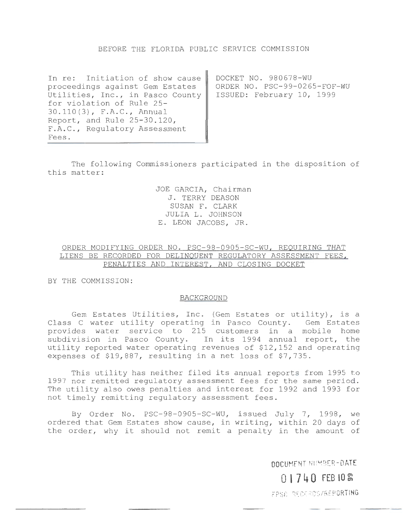# BEFORE THE FLORIDA PUBLIC SERVICE COMMISSION

In re: Initiation of show cause proceedings against Gem Estates Utilities, Inc., in Pasco County for violation of Rule 25- 30.110(3), F.A.C., Annual Report, and Rule 25-30.120, F.A.C., Regulatory Assessment Fees.

DOCKET NO. 980678-WU ORDER NO. PSC-99-0265-FOF-WU ISSUED: February 10, 1999

The following Commissioners participated in the disposition of this matter:

> JOE GARCIA, Chairman J. TERRY DEASON SUSAN F. CLARK JULIA L. JOHNSON E. LEON JACOBS, JR.

# ORDER MODIFYING ORDER NO. PSC-98-0905-SC-WU, REQUIRING THAT LIENS BE RECORDED FOR DELINQUENT REGULATORY ASSESSMENT FEES, PENALTIES AND INTEREST, AND CLOSING DOCKET

BY THE COMMISSION:

#### BACKGROUND

Gem Estates Utilities, Inc. (Gem Estates or utility), is a Class C water utility operating in Pasco County. Gem Estates provides water service to 215 customers in a mobile home subdivision in Pasco County. In its 1994 annual report, the utility reported water operating revenues of \$12,152 and operating expenses of \$19,887, resulting in a net loss of \$7,735.

This utility has neither filed its annual reports from 1995 to 1997 nor remitted regulatory assessment fees for the same period. The utility also owes penalties and interest for 1992 and 1993 for not timely remitting regulatory assessment fees.

By Order No. PSC-98-0905-SC-WU, issued July 7, 1998, we ordered that Gem Estates show cause, in writing, within 20 days of the order, why it should not remit a penalty in the amount of

**DOCUMENT** NU~B ER **-DATE** 

**0 l 7 4 0 FEB 10** <sup>~</sup>

FPSC -RECOROS/REP ORTIHG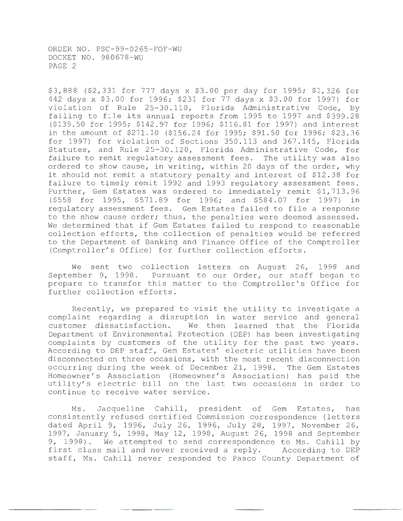\$3,888 (\$2,331 for 777 days x \$3.00 per day for 1995; \$1,326 for 442 days x \$3.00 for 1996; \$231 for 77 days x \$3.00 for 1997) for violation of Rule 25-30.110, Florida Administrative Code, by failing to file its annual reports from 1995 to 1997 and \$399.28 (\$139.50 for 1995; \$142.97 for 1996; \$116.81 for 1997) and interest in the amount of \$271.10 (\$156.24 for 1995; \$91.50 for 1996; \$23.36 for 1997) for violation of Sections 350.113 and 367.145, Florida Statutes, and Rule 25-30.120, Florida Administrative Code, for failure to remit regulatory assessment fees. The utility was also ordered to show cause, in writing, within 20 days of the order, why it should not remit a statutory penalty and interest of \$12.38 for failure to timely remit 1992 and 1993 regulatory assessment fees. Further, Gem Estates was ordered to immediately remit \$1,713.96 (\$558 for 1995, \$571.89 for 1996; and \$584.07 for 1997) in regulatory assessment fees. Gem Estates failed to file a response to the show cause order; thus, the penalties were deemed assessed. We determined that if Gem Estates failed to respond to reasonable collection efforts, the collection of penalties would be referred to the Department of Banking and Finance Office of the Comptroller (Comptroller's Office) for further collection efforts.

We sent two collection letters on August 26, 1998 and September 9, 1998. Pursuant to our Order, our staff began to prepare to transfer this matter to the Comptroller's Office for further collection efforts.

Recently, we prepared to visit the utility to investigate a complaint regarding a disruption in water service and general customer dissatisfaction. We then learned that the Florida Department of Environmental Protection (DEP) has been investigating complaints by customers of the utility for the past two years. According to DEP staff, Gem Estates' electric utilities have been disconnected on three occasions, with the most recent disconnection occurring during the week of December 21, 1998. The Gem Estates Homeowner's Association (Homeowner's Association) has paid the utility's electric bill on the last two occasions in order to continue to receive water service.

Ms. Jacqueline Cahill, president of Gem Estates, has consistently refused certified Commission correspondence (letters dated April 9, 1996, July 26, 1996, July 28, 1997, November 26, 1997, January 5, 1998, May 12, 1998, August 26, 1998 and September 9, 1998). We attempted to send correspondence to Ms. Cahill by<br>first class mail and never received a reply. According to DEP first class mail and never received a reply. staff, Ms. Cahill never responded to Pasco County Department of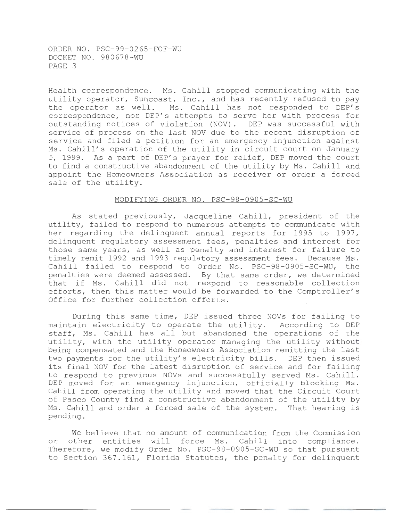Health correspondence. Ms. Cahill stopped communicating with the utility operator, Suncoast, Inc., and has recently refused to pay the operator as well. Ms. Cahill has not responded to DEP's correspondence, nor DEP's attempts to serve her with process for outstanding notices of violation (NOV). DEP was successful with service of process on the last NOV due to the recent disruption of service and filed a petition for an emergency injunction against Ms. Cahill's operation of the utility in circuit court on January 5, 1999. As a part of DEP's prayer for relief, DEP moved the court to find a constructive abandonment of the utility by Ms. Cahill and appoint the Homeowners Association as receiver or order a forced sale of the utility.

### MODIFYING ORDER NO. PSC-98-0905-SC-WU

As stated previously, Jacqueline Cahill, president of the utility, failed to respond to numerous attempts to communicate with her regarding the delinguent annual reports for 1995 to 1997, delinquent regulatory assessment fees, penalties and interest for those same years, as well as penalty and interest for failure to timely remit 1992 and 1993 regulatory assessment fees. Because Ms. Cahill failed to respond to Order No. PSC-98-0905-SC-WU, the penalties were deemed assessed. By that same order, we determined that if Ms. Cahill did not respond to reasonable collection efforts, then this matter would be forwarded to the Comptroller's Office for further collection efforts.

During this same time, DEP issued three NOVs for failing to maintain electricity to operate the utility. According to DEP staff, Ms. Cahill has all but abandoned the operations of the utility, with the utility operator managing the utility without being compensated and the Homeowners Association remitting the last two payments for the utility's electricity bills. DEP then issued its final NOV for the latest disruption of service and for failing to respond to previous NOVs and successfully served Ms. Cahill. DEP moved for an emergency injunction, officially blocking Ms. Cahill from operating the utility and moved that the Circuit Court of Pasco County find a constructive abandonment of the utility by Ms. Cahill and order a forced sale of the system. That hearing is pending.

We believe that no amount of communication from the Commission or other entities will force Ms. Cahill into compliance. Therefore, we modify Order No. PSC-98-0905-SC-WU so that pursuant to Section 367.161, Florida Statutes, the penalty for delinquent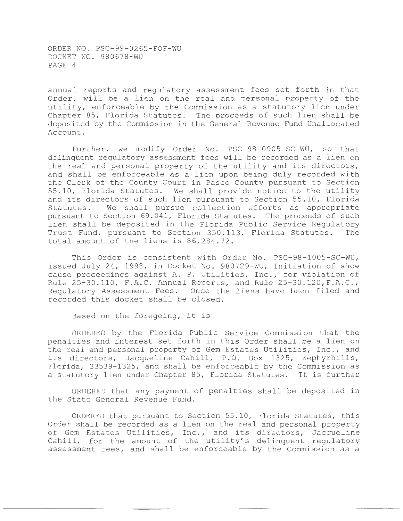annual reports and regulatory assessment fees set forth in that Order, will be a lien on the real and personal property of the utility, enforceable by the Commission as a statutory lien under Chapter 85, Florida Statutes. The proceeds of such lien shall be deposited by the Commission in the General Revenue Fund Unallocated Account.

Further, we modify Order No. PSC-98-0905-SC-WU, so that delinquent regulatory assessment fees will be recorded as a lien on the real and personal property of the utility and its directors, and shall be enforceable as a lien upon being duly recorded with the Clerk of the County Court in Pasco County pursuant to Section 55.10, Florida Statutes. We shall provide notice to the utility and its directors of such lien pursuant to Section 55.10, Florida Statutes. We shall pursue collection efforts as appropriate pursuant to Section 69.041, Florida Statutes. The proceeds of such lien shall be deposited in the Florida Public Service Regulatory<br>Trust Fund, pursuant to Section 350.113, Florida Statutes. The Trust Fund, pursuant to Section 350.113, Florida Statutes. total amount of the liens is \$6,284.72.

This Order is consistent with Order No. PSC-98-1005-SC-WU, issued July 24, 1998, in Docket No. 980729-WU, Initiation of show cause proceedings against A. P. Utilities, Inc., for violation of Rule 25-30.110, F.A.C. Annual Reports, and Rule 25-30.120,F.A.C., Regulatory Assessment Fees. Once the liens have been filed and recorded this docket shall be closed.

Based on the foregoing, it is

ORDERED by the Florida Public Service Commission that the penalties and interest set forth in this Order shall be a lien on the real and personal property of Gem Estates Utilities, Inc., and its directors, Jacqueline Cahill, P.O. Box 1325, Zephyrhills, Florida, 33539-1325, and shall be enforceable by the Commission as a statutory lien under Chapter 85, Florida Statutes. It is further

ORDERED that any payment of penalties shall be deposited in the State General Revenue Fund.

ORDERED that pursuant to Section 55.10, Florida Statutes, this Order shall be recorded as a lien on the real and personal property of Gem Estates Utilities, Inc., and its directors, Jacqueline Cahill, for the amount of the utility's delinquent regulatory assessment fees, and shall be enforceable by the Commission as a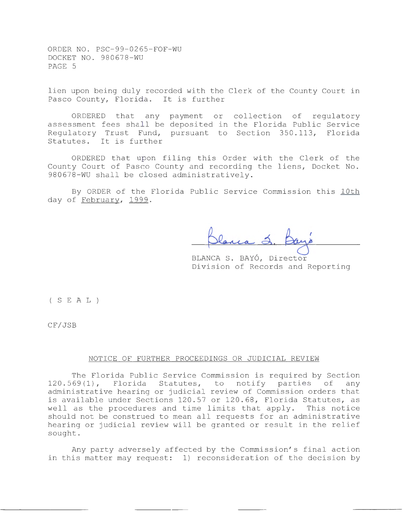lien upon being duly recorded with the Clerk of the County Court in Pasco County, Florida. It is further

ORDERED that any payment or collection of regulatory assessment fees shall be deposited in the Florida Public Service Regulatory Trust Fund, pursuant to Section 350.113, Florida Statutes. It is further

ORDERED that upon filing this Order with the Clerk of the County Court of Pasco County and recording the liens, Docket No. 980678-WU shall be closed administratively.

By ORDER of the Florida Public Service Commission this lOth day of February, 1999.

BLANCA S. BAYO, Director Division of Records and Reporting

( S E A L )

CF/JSB

### NOTICE OF FURTHER PROCEEDINGS OR JUDICIAL REVIEW

The Florida Public Service Commission is required by Section 120.569(1), Florida Statutes, to notify parties of any administrative hearing or judicial review of Commission orders that is available under Sections 120.57 or 120.68, Florida Statutes, as well as the procedures and time limits that apply. This notice should not be construed to mean all requests for an administrative hearing or judicial review will be granted or result in the relief sought.

Any party adversely affected by the Commission's final action in this matter may request: 1) reconsideration of the decision by